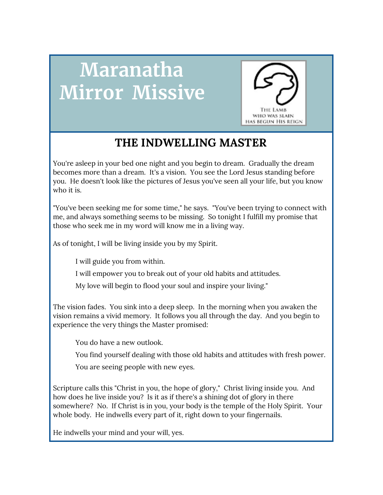# **Maranatha Mirror Missive**



# **THE INDWELLING MASTER**

You're asleep in your bed one night and you begin to dream. Gradually the dream becomes more than a dream. It's a vision. You see the Lord Jesus standing before you. He doesn't look like the pictures of Jesus you've seen all your life, but you know who it is.

"You've been seeking me for some time," he says. "You've been trying to connect with me, and always something seems to be missing. So tonight I fulfill my promise that those who seek me in my word will know me in a living way.

As of tonight, I will be living inside you by my Spirit.

I will guide you from within.

I will empower you to break out of your old habits and attitudes.

My love will begin to flood your soul and inspire your living."

The vision fades. You sink into a deep sleep. In the morning when you awaken the vision remains a vivid memory. It follows you all through the day. And you begin to experience the very things the Master promised:

You do have a new outlook.

You find yourself dealing with those old habits and attitudes with fresh power.

You are seeing people with new eyes.

Scripture calls this "Christ in you, the hope of glory," Christ living inside you. And how does he live inside you? Is it as if there's a shining dot of glory in there somewhere? No. If Christ is in you, your body is the temple of the Holy Spirit. Your whole body. He indwells every part of it, right down to your fingernails.

He indwells your mind and your will, yes.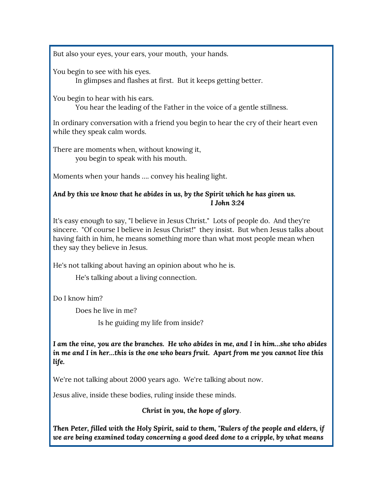But also your eyes, your ears, your mouth, your hands.

You begin to see with his eyes.

In glimpses and flashes at first. But it keeps getting better.

You begin to hear with his ears.

You hear the leading of the Father in the voice of a gentle stillness.

In ordinary conversation with a friend you begin to hear the cry of their heart even while they speak calm words.

There are moments when, without knowing it, you begin to speak with his mouth.

Moments when your hands …. convey his healing light.

#### *And by this we know that he abides in us, by the Spirit which he has given us. I John 3:24*

It's easy enough to say, "I believe in Jesus Christ." Lots of people do. And they're sincere. "Of course I believe in Jesus Christ!" they insist. But when Jesus talks about having faith in him, he means something more than what most people mean when they say they believe in Jesus.

He's not talking about having an opinion about who he is.

He's talking about a living connection.

Do I know him?

Does he live in me?

Is he guiding my life from inside?

*I am the vine, you are the branches. He who abides in me, and I in him…she who abides in me and I in her…this is the one who bears fruit. Apart from me you cannot live this life.*

We're not talking about 2000 years ago. We're talking about now.

Jesus alive, inside these bodies, ruling inside these minds.

*Christ in you, the hope of glory*.

*Then Peter, filled with the Holy Spirit, said to them, "Rulers of the people and elders, if we are being examined today concerning a good deed done to a cripple, by what means*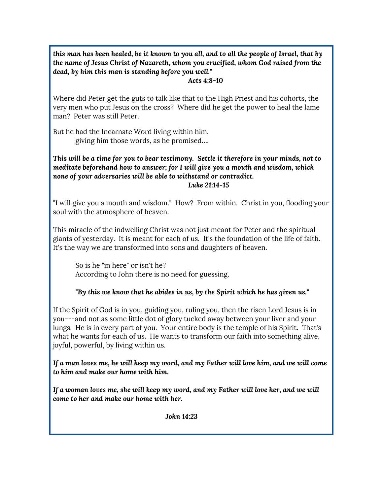this man has been healed, be it known to you all, and to all the people of Israel, that by *the name of Jesus Christ of Nazareth, whom you crucified, whom God raised from the dead, by him this man is standing before you well."*

#### *Acts 4:8-10*

Where did Peter get the guts to talk like that to the High Priest and his cohorts, the very men who put Jesus on the cross? Where did he get the power to heal the lame man? Peter was still Peter.

But he had the Incarnate Word living within him, giving him those words, as he promised….

*This will be a time for you to bear testimony. Settle it therefore in your minds, not to meditate beforehand how to answer; for I will give you a mouth and wisdom, which none of your adversaries will be able to withstand or contradict. Luke 21:14-15*

"I will give you a mouth and wisdom." How? From within. Christ in you, flooding your soul with the atmosphere of heaven.

This miracle of the indwelling Christ was not just meant for Peter and the spiritual giants of yesterday. It is meant for each of us. It's the foundation of the life of faith. It's the way we are transformed into sons and daughters of heaven.

So is he "in here" or isn't he? According to John there is no need for guessing.

#### *"By this we know that he abides in us, by the Spirit which he has given us."*

If the Spirit of God is in you, guiding you, ruling you, then the risen Lord Jesus is in you---and not as some little dot of glory tucked away between your liver and your lungs. He is in every part of you. Your entire body is the temple of his Spirit. That's what he wants for each of us. He wants to transform our faith into something alive, joyful, powerful, by living within us.

If a man loves me, he will keep my word, and my Father will love him, and we will come *to him and make our home with him.*

*If a woman loves me, she will keep my word, and my Father will love her, and we will come to her and make our home with her.*

*John 14:23*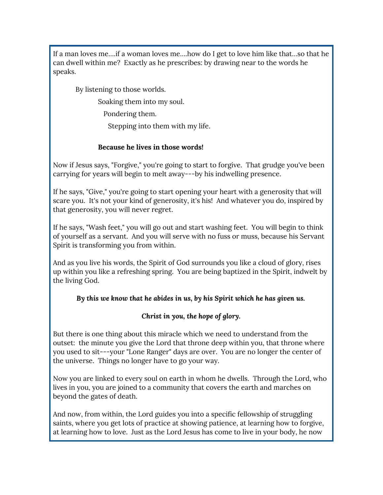If a man loves me….if a woman loves me….how do I get to love him like that…so that he can dwell within me? Exactly as he prescribes: by drawing near to the words he speaks.

By listening to those worlds.

Soaking them into my soul.

Pondering them.

Stepping into them with my life.

#### **Because he lives in those words!**

Now if Jesus says, "Forgive," you're going to start to forgive. That grudge you've been carrying for years will begin to melt away---by his indwelling presence.

If he says, "Give," you're going to start opening your heart with a generosity that will scare you. It's not your kind of generosity, it's his! And whatever you do, inspired by that generosity, you will never regret.

If he says, "Wash feet," you will go out and start washing feet. You will begin to think of yourself as a servant. And you will serve with no fuss or muss, because his Servant Spirit is transforming you from within.

And as you live his words, the Spirit of God surrounds you like a cloud of glory, rises up within you like a refreshing spring. You are being baptized in the Spirit, indwelt by the living God.

#### *By this we know that he abides in us, by his Spirit which he has given us.*

#### *Christ in you, the hope of glory.*

But there is one thing about this miracle which we need to understand from the outset: the minute you give the Lord that throne deep within you, that throne where you used to sit---your "Lone Ranger" days are over. You are no longer the center of the universe. Things no longer have to go your way.

Now you are linked to every soul on earth in whom he dwells. Through the Lord, who lives in you, you are joined to a community that covers the earth and marches on beyond the gates of death.

And now, from within, the Lord guides you into a specific fellowship of struggling saints, where you get lots of practice at showing patience, at learning how to forgive, at learning how to love. Just as the Lord Jesus has come to live in your body, he now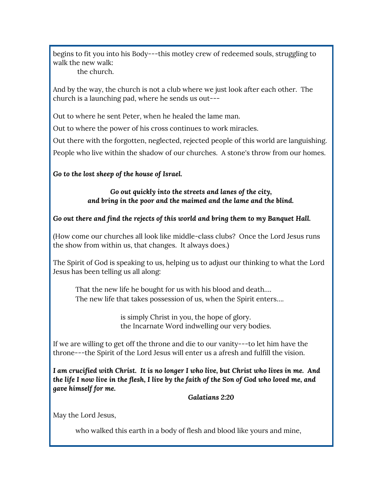begins to fit you into his Body---this motley crew of redeemed souls, struggling to walk the new walk:

the church.

And by the way, the church is not a club where we just look after each other. The church is a launching pad, where he sends us out---

Out to where he sent Peter, when he healed the lame man.

Out to where the power of his cross continues to work miracles.

Out there with the forgotten, neglected, rejected people of this world are languishing. People who live within the shadow of our churches. A stone's throw from our homes.

*Go to the lost sheep of the house of Israel.*

*Go out quickly into the streets and lanes of the city, and bring in the poor and the maimed and the lame and the blind.*

#### *Go out there and find the rejects of this world and bring them to my Banquet Hall.*

(How come our churches all look like middle-class clubs? Once the Lord Jesus runs the show from within us, that changes. It always does.)

The Spirit of God is speaking to us, helping us to adjust our thinking to what the Lord Jesus has been telling us all along:

That the new life he bought for us with his blood and death…. The new life that takes possession of us, when the Spirit enters….

> is simply Christ in you, the hope of glory. the Incarnate Word indwelling our very bodies.

If we are willing to get off the throne and die to our vanity---to let him have the throne---the Spirit of the Lord Jesus will enter us a afresh and fulfill the vision.

*I am crucified with Christ. It is no longer I who live, but Christ who lives in me. And* the life I now live in the flesh, I live by the faith of the Son of God who loved me, and *gave himself for me.*

*Galatians 2:20*

May the Lord Jesus,

who walked this earth in a body of flesh and blood like yours and mine,